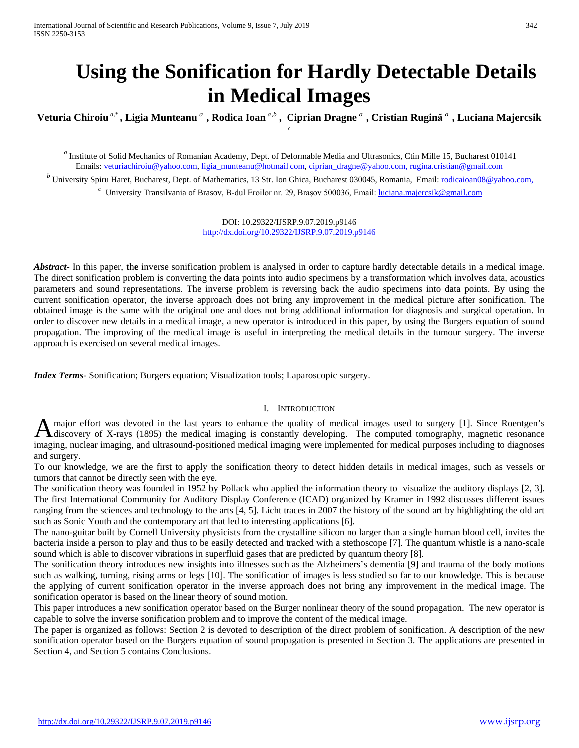# **Using the Sonification for Hardly Detectable Details in Medical Images**

**Veturia Chiroiu** *<sup>a</sup>*,\* **, Ligia Munteanu** *<sup>a</sup>* **, Rodica Ioan** *a b*, **, Ciprian Dragne** *<sup>a</sup>* **, Cristian Rugină** *<sup>a</sup>* **, Luciana Majercsik** *c*

*<sup>a</sup>* Institute of Solid Mechanics of Romanian Academy, Dept. of Deformable Media and Ultrasonics, Ctin Mille 15, Bucharest 010141 Emails: [veturiachiroiu@yahoo.com,](mailto:veturiachiroiu@yahoo.com) [ligia\\_munteanu@hotmail.com,](mailto:ligia_munteanu@hotmail.com) [ciprian\\_dragne@yahoo.com,](mailto:ciprian_dragne@yahoo.com) [rugina.cristian@gmail.com](mailto:rugina.cristian@gmail.com)

<sup>*b*</sup> University Spiru Haret, Bucharest, Dept. of Mathematics, 13 Str. Ion Ghica, Bucharest 030045, Romania, Email: [rodicaioan08@yahoo.com,](mailto:rodicaioan08@yahoo.com) *<sup>c</sup>* University Transilvania of Brasov, B-dul Eroilor nr. 29, Brașov 500036, Email: [luciana.majercsik@gmail.com](mailto:luciana.majercsik@gmail.com)

> DOI: 10.29322/IJSRP.9.07.2019.p9146 <http://dx.doi.org/10.29322/IJSRP.9.07.2019.p9146>

Abstract<sub>rib</sub> in this paper, the inverse sonification problem is analysed in order to capture hardly detectable details in a medical image. The direct sonification problem is converting the data points into audio specimens by a transformation which involves data, acoustics parameters and sound representations. The inverse problem is reversing back the audio specimens into data points. By using the current sonification operator, the inverse approach does not bring any improvement in the medical picture after sonification. The obtained image is the same with the original one and does not bring additional information for diagnosis and surgical operation. In order to discover new details in a medical image, a new operator is introduced in this paper, by using the Burgers equation of sound propagation. The improving of the medical image is useful in interpreting the medical details in the tumour surgery. The inverse approach is exercised on several medical images.

*Index Terms*- Sonification; Burgers equation; Visualization tools; Laparoscopic surgery.

## I. INTRODUCTION

major effort was devoted in the last years to enhance the quality of medical images used to surgery [1]. Since Roentgen's discovery of X-rays (1895) the medical imaging is constantly developing. The computed tomography, magnetic resonance A major effort was devoted in the last years to enhance the quality of medical images used to surgery [1]. Since Roentgen's discovery of X-rays (1895) the medical imaging is constantly developing. The computed tomography, and surgery.

To our knowledge, we are the first to apply the sonification theory to detect hidden details in medical images, such as vessels or tumors that cannot be directly seen with the eye.

The sonification theory was founded in 1952 by Pollack who applied the information theory to visualize the auditory displays [2, 3]. The first International Community for Auditory Display Conference (ICAD) organized by Kramer in 1992 discusses different issues ranging from the sciences and technology to the arts [4, 5]. Licht traces in 2007 the history of the sound art by highlighting the old art such as Sonic Youth and the contemporary art that led to interesting applications [6].

The nano-guitar built by Cornell University physicists from the crystalline silicon no larger than a single human blood cell, invites the bacteria inside a person to play and thus to be easily detected and tracked with a stethoscope [7]. The quantum whistle is a nano-scale sound which is able to discover vibrations in superfluid gases that are predicted by quantum theory [8].

The sonification theory introduces new insights into illnesses such as the Alzheimers's dementia [9] and trauma of the body motions such as walking, turning, rising arms or legs [10]. The sonification of images is less studied so far to our knowledge. This is because the applying of current sonification operator in the inverse approach does not bring any improvement in the medical image. The sonification operator is based on the linear theory of sound motion.

This paper introduces a new sonification operator based on the Burger nonlinear theory of the sound propagation. The new operator is capable to solve the inverse sonification problem and to improve the content of the medical image.

The paper is organized as follows: Section 2 is devoted to description of the direct problem of sonification. A description of the new sonification operator based on the Burgers equation of sound propagation is presented in Section 3. The applications are presented in Section 4, and Section 5 contains Conclusions.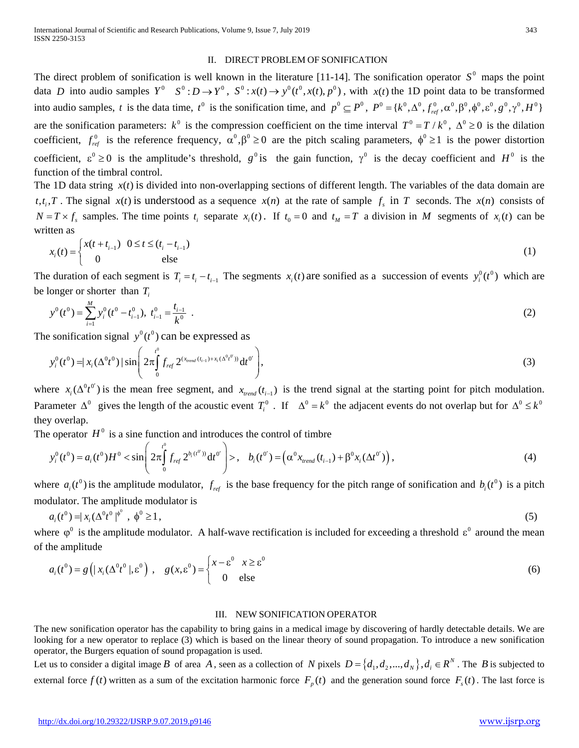## II. DIRECT PROBLEM OF SONIFICATION

The direct problem of sonification is well known in the literature [11-14]. The sonification operator  $S^0$  maps the point data *D* into audio samples  $Y^0$   $S^0$ :  $D \to Y^0$ ,  $S^0$ :  $x(t) \to y^0(t^0, x(t), p^0)$ , with  $x(t)$  the 1D point data to be transformed into audio samples, *t* is the data time,  $t^0$  is the sonification time, and  $p^0 \n\t\subseteq P^0$ ,  $P^0 = \{k^0, \Delta^0, f_{ref}^0, \alpha^0, \beta^0, \phi^0, \varepsilon^0, g^0, \gamma^0, H^0\}$ are the sonification parameters:  $k^0$  is the compression coefficient on the time interval  $T^0 = T/k^0$ ,  $\Delta^0 \ge 0$  is the dilation coefficient,  $f_{ref}^0$  is the reference frequency,  $\alpha^0$ ,  $\beta^0 \ge 0$  are the pitch scaling parameters,  $\phi^0 \ge 1$  is the power distortion coefficient,  $\epsilon^0 \ge 0$  is the amplitude's threshold,  $g^0$  is the gain function,  $\gamma^0$  is the decay coefficient and  $H^0$  is the function of the timbral control.

The 1D data string  $x(t)$  is divided into non-overlapping sections of different length. The variables of the data domain are  $t, t_i, T$ . The signal  $x(t)$  is understood as a sequence  $x(n)$  at the rate of sample  $f_s$  in *T* seconds. The  $x(n)$  consists of  $N = T \times f_s$  samples. The time points  $t_i$  separate  $x_i(t)$ . If  $t_0 = 0$  and  $t_M = T$  a division in *M* segments of  $x_i(t)$  can be written as

$$
x_i(t) = \begin{cases} x(t + t_{i-1}) & 0 \le t \le (t_i - t_{i-1}) \\ 0 & \text{else} \end{cases}
$$
 (1)

The duration of each segment is  $T_i = t_i - t_{i-1}$  The segments  $x_i(t)$  are sonified as a succession of events  $y_i^0(t^0)$  which are be longer or shorter than *Ti*

$$
y^{0}(t^{0}) = \sum_{i=1}^{M} y_{i}^{0}(t^{0} - t_{i-1}^{0}), \ t_{i-1}^{0} = \frac{t_{i-1}}{k^{0}} \t . \t (2)
$$

The sonification signal  $y^0(t^0)$  can be expressed as

$$
y_i^0(t^0) = |x_i(\Delta^0 t^0)| \sin \left(2\pi \int_0^{t^0} f_{ref} 2^{(x_{read}(t_{i-1}) + x_i(\Delta^0 t^0))} dt^0 \right), \tag{3}
$$

where  $x_i(\Delta^0 t^0)$  is the mean free segment, and  $x_{trend}(t_{i-1})$  is the trend signal at the starting point for pitch modulation. Parameter  $\Delta^0$  gives the length of the acoustic event  $T_i^0$ . If  $\Delta^0 = k^0$  the adjacent events do not overlap but for  $\Delta^0 \leq k^0$ they overlap.

The operator  $H^0$  is a sine function and introduces the control of timbre

$$
y_i^0(t^0) = a_i(t^0)H^0 < \sin\left(2\pi \int_0^{t^0} f_{ref} 2^{b_i(t^0))} \mathrm{d}t^0\right) > , \quad b_i(t^0) = \left(\alpha^0 x_{\text{trend}}(t_{i-1}) + \beta^0 x_i(\Delta t^0)\right), \tag{4}
$$

where  $a_i(t^0)$  is the amplitude modulator,  $f_{ref}$  is the base frequency for the pitch range of sonification and  $b_i(t^0)$  is a pitch modulator. The amplitude modulator is

$$
a_i(t^0) = |x_i(\Delta^0 t^0)|^{\phi^0}, \quad \phi^0 \ge 1,\tag{5}
$$

where  $\varphi^0$  is the amplitude modulator. A half-wave rectification is included for exceeding a threshold  $\varepsilon^0$  around the mean of the amplitude

$$
a_i(t^0) = g\left(|x_i(\Delta^0 t^0 |, \epsilon^0)\right), \quad g(x, \epsilon^0) = \begin{cases} x - \epsilon^0 & x \ge \epsilon^0 \\ 0 & \text{else} \end{cases}
$$
 (6)

## III. NEW SONIFICATION OPERATOR

The new sonification operator has the capability to bring gains in a medical image by discovering of hardly detectable details. We are looking for a new operator to replace (3) which is based on the linear theory of sound propagation. To introduce a new sonification operator, the Burgers equation of sound propagation is used.

Let us to consider a digital image *B* of area *A*, seen as a collection of *N* pixels  $D = \{d_1, d_2, ..., d_N\}, d_i \in \mathbb{R}^N$ . The *B* is subjected to external force  $f(t)$  written as a sum of the excitation harmonic force  $F_p(t)$  and the generation sound force  $F_s(t)$ . The last force is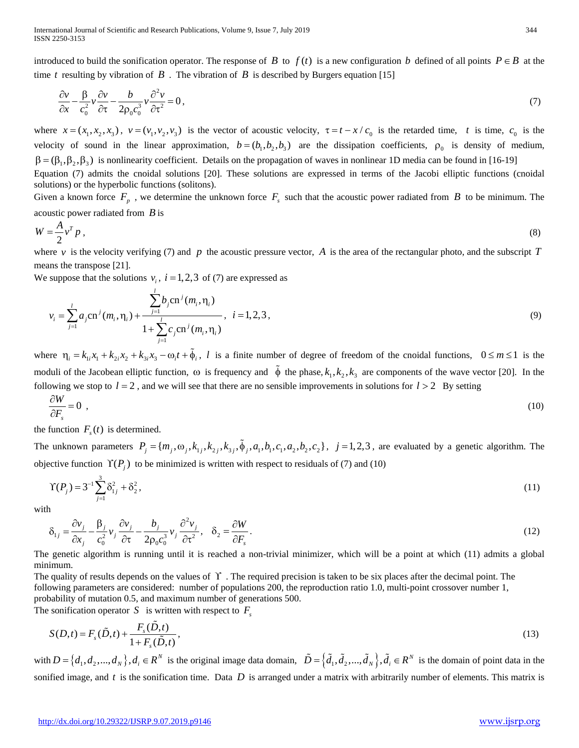introduced to build the sonification operator. The response of *B* to  $f(t)$  is a new configuration *b* defined of all points  $P \in B$  at the time *t* resulting by vibration of  $\tilde{B}$ . The vibration of  $\tilde{B}$  is described by Burgers equation [15]

$$
\frac{\partial v}{\partial x} - \frac{\beta}{c_0^2} v \frac{\partial v}{\partial \tau} - \frac{b}{2\rho_0 c_0^3} v \frac{\partial^2 v}{\partial \tau^2} = 0,
$$
\n<sup>(7)</sup>

where  $x = (x_1, x_2, x_3)$ ,  $v = (v_1, v_2, v_3)$  is the vector of acoustic velocity,  $\tau = t - x/c_0$  is the retarded time, *t* is time,  $c_0$  is the velocity of sound in the linear approximation,  $b = (b_1, b_2, b_3)$  are the dissipation coefficients,  $\rho_0$  is density of medium,  $\beta = (\beta_1, \beta_2, \beta_3)$  is nonlinearity coefficient. Details on the propagation of waves in nonlinear 1D media can be found in [16-19] Equation (7) admits the cnoidal solutions [20]. These solutions are expressed in terms of the Jacobi elliptic functions (cnoidal solutions) or the hyperbolic functions (solitons).

Given a known force  $F_p$ , we determine the unknown force  $F_s$  such that the acoustic power radiated from *B* to be minimum. The acoustic power radiated from *B* is

$$
W = \frac{A}{2} v^T p \tag{8}
$$

where *v* is the velocity verifying (7) and *p* the acoustic pressure vector, *A* is the area of the rectangular photo, and the subscript *T* means the transpose [21].

We suppose that the solutions  $v_i$ ,  $i = 1, 2, 3$  of (7) are expressed as

$$
v_i = \sum_{j=1}^{l} a_j \text{cn}^j(m_i, \eta_i) + \frac{\sum_{j=1}^{l} b_j \text{cn}^j(m_i, \eta_i)}{1 + \sum_{j=1}^{l} c_j \text{cn}^j(m_i, \eta_i)}, \quad i = 1, 2, 3,
$$
\n(9)

where  $\eta_i = k_{i,i}x_1 + k_{i,i}x_2 + k_{i,i}x_3 - \omega_i t + \tilde{\phi}_i$ , *l* is a finite number of degree of freedom of the cnoidal functions,  $0 \le m \le 1$  is the moduli of the Jacobean elliptic function,  $\omega$  is frequency and  $\tilde{\phi}$  the phase,  $k_1, k_2, k_3$  are components of the wave vector [20]. In the following we stop to  $l = 2$ , and we will see that there are no sensible improvements in solutions for  $l > 2$  By setting

$$
\frac{\partial W}{\partial F_s} = 0 \tag{10}
$$

the function  $F<sub>s</sub>(t)$  is determined.

The unknown parameters  $P_j = \{m_j, \omega_j, k_{1j}, k_{2j}, k_{3j}, \tilde{\phi}_j, a_1, b_1, c_1, a_2, b_2, c_2\}$ ,  $j = 1, 2, 3$ , are evaluated by a genetic algorithm. The objective function  $\Upsilon(P_i)$  to be minimized is written with respect to residuals of (7) and (10)

$$
\Upsilon(P_j) = 3^{-1} \sum_{j=1}^{3} \delta_{1j}^2 + \delta_2^2, \tag{11}
$$

with

$$
\delta_{1j} = \frac{\partial v_j}{\partial x_j} - \frac{\beta_j}{c_0^2} v_j \frac{\partial v_j}{\partial \tau} - \frac{b_j}{2\rho_0 c_0^3} v_j \frac{\partial^2 v_j}{\partial \tau^2}, \quad \delta_2 = \frac{\partial W}{\partial F_s}.
$$
\n(12)

The genetic algorithm is running until it is reached a non-trivial minimizer, which will be a point at which (11) admits a global minimum.

The quality of results depends on the values of ϒ . The required precision is taken to be six places after the decimal point. The following parameters are considered: number of populations 200, the reproduction ratio 1.0, multi-point crossover number 1, probability of mutation 0.5, and maximum number of generations 500.

The sonification operator *S* is written with respect to  $F_s$ 

$$
S(D,t) = F_s(\tilde{D},t) + \frac{F_s(\tilde{D},t)}{1 + F_s(\tilde{D},t)},
$$
\n(13)

with  $D = \{d_1, d_2, ..., d_N\}$ ,  $d_i \in R^N$  is the original image data domain,  $\tilde{D} = \{\tilde{d}_1, \tilde{d}_2, ..., \tilde{d}_N\}$ ,  $\tilde{d}_i \in R^N$  is the domain of point data in the sonified image, and  $t$  is the sonification time. Data  $D$  is arranged under a matrix with arbitrarily number of elements. This matrix is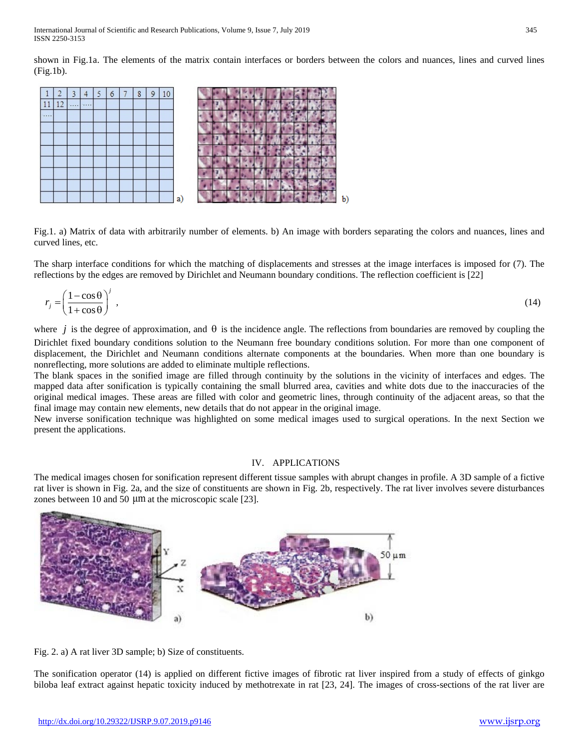shown in Fig.1a. The elements of the matrix contain interfaces or borders between the colors and nuances, lines and curved lines (Fig.1b).



Fig.1. a) Matrix of data with arbitrarily number of elements. b) An image with borders separating the colors and nuances, lines and curved lines, etc.

The sharp interface conditions for which the matching of displacements and stresses at the image interfaces is imposed for (7). The reflections by the edges are removed by Dirichlet and Neumann boundary conditions. The reflection coefficient is [22]

$$
r_j = \left(\frac{1 - \cos\theta}{1 + \cos\theta}\right)^j,\tag{14}
$$

where *j* is the degree of approximation, and  $\theta$  is the incidence angle. The reflections from boundaries are removed by coupling the Dirichlet fixed boundary conditions solution to the Neumann free boundary conditions solution. For more than one component of displacement, the Dirichlet and Neumann conditions alternate components at the boundaries. When more than one boundary is nonreflecting, more solutions are added to eliminate multiple reflections.

The blank spaces in the sonified image are filled through continuity by the solutions in the vicinity of interfaces and edges. The mapped data after sonification is typically containing the small blurred area, cavities and white dots due to the inaccuracies of the original medical images. These areas are filled with color and geometric lines, through continuity of the adjacent areas, so that the final image may contain new elements, new details that do not appear in the original image.

New inverse sonification technique was highlighted on some medical images used to surgical operations. In the next Section we present the applications.

## IV. APPLICATIONS

The medical images chosen for sonification represent different tissue samples with abrupt changes in profile. A 3D sample of a fictive rat liver is shown in Fig. 2a, and the size of constituents are shown in Fig. 2b, respectively. The rat liver involves severe disturbances zones between 10 and 50 μm at the microscopic scale [23].





The sonification operator (14) is applied on different fictive images of fibrotic rat liver inspired from a study of effects of ginkgo biloba leaf extract against hepatic toxicity induced by methotrexate in rat [23, 24]. The images of cross-sections of the rat liver are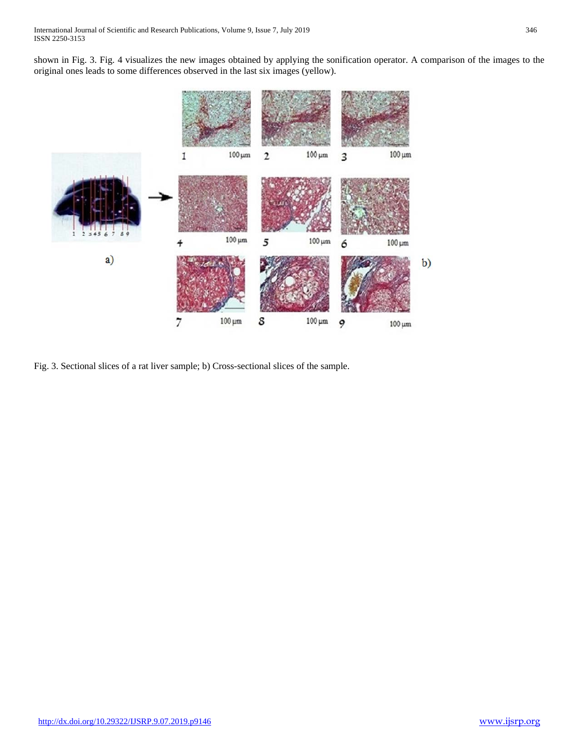shown in Fig. 3. Fig. 4 visualizes the new images obtained by applying the sonification operator. A comparison of the images to the original ones leads to some differences observed in the last six images (yellow).



Fig. 3. Sectional slices of a rat liver sample; b) Cross-sectional slices of the sample.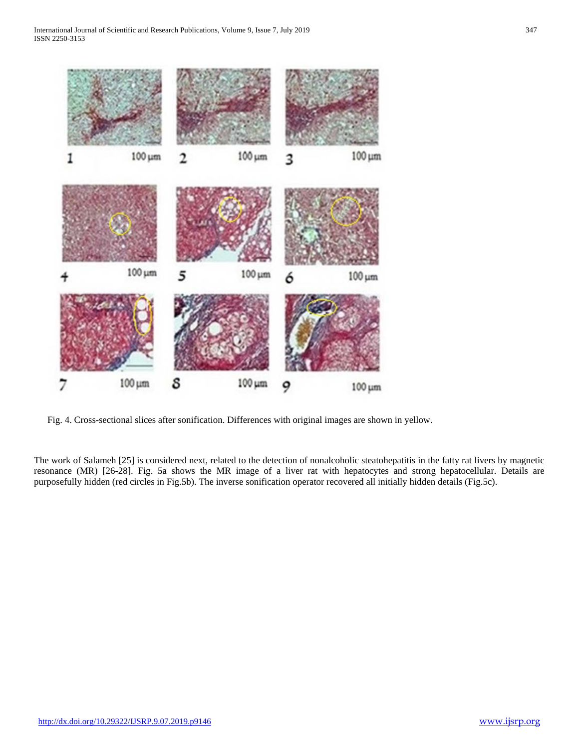

Fig. 4. Cross-sectional slices after sonification. Differences with original images are shown in yellow.

The work of Salameh [25] is considered next, related to the detection of nonalcoholic steatohepatitis in the fatty rat livers by magnetic resonance (MR) [26-28]. Fig. 5a shows the MR image of a liver rat with hepatocytes and strong hepatocellular. Details are purposefully hidden (red circles in Fig.5b). The inverse sonification operator recovered all initially hidden details (Fig.5c).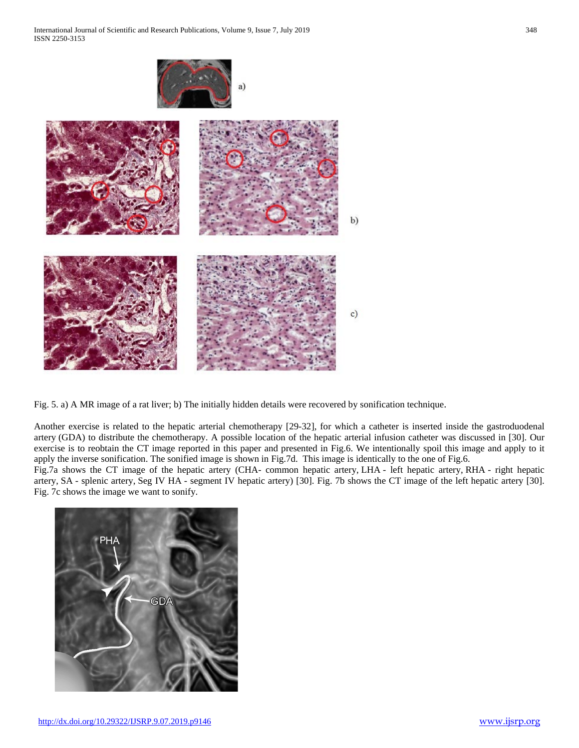

Fig. 5. a) A MR image of a rat liver; b) The initially hidden details were recovered by sonification technique.

Another exercise is related to the hepatic arterial chemotherapy [29-32], for which a catheter is inserted inside the gastroduodenal artery (GDA) to distribute the chemotherapy. A possible location of the hepatic arterial infusion catheter was discussed in [30]. Our exercise is to reobtain the CT image reported in this paper and presented in Fig.6. We intentionally spoil this image and apply to it apply the inverse sonification. The sonified image is shown in Fig.7d. This image is identically to the one of Fig.6.

Fig.7a shows the CT image of the hepatic artery (CHA- common hepatic artery, LHA - left hepatic artery, RHA - right hepatic artery, SA - splenic artery, Seg IV HA - segment IV hepatic artery) [30]. Fig. 7b shows the CT image of the left hepatic artery [30]. Fig. 7c shows the image we want to sonify.

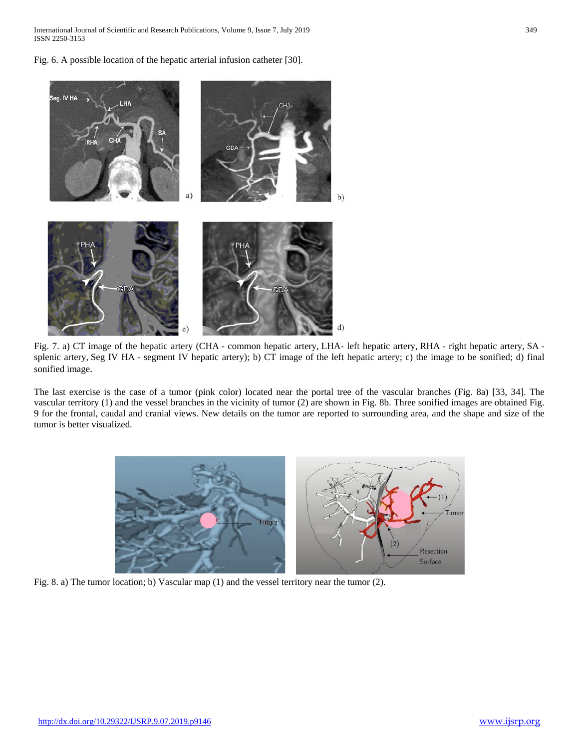International Journal of Scientific and Research Publications, Volume 9, Issue 7, July 2019 349 ISSN 2250-3153

Fig. 6. A possible location of the hepatic arterial infusion catheter [30].



Fig. 7. a) CT image of the hepatic artery (CHA - common hepatic artery, LHA- left hepatic artery, RHA - right hepatic artery, SA splenic artery, Seg IV HA - segment IV hepatic artery); b) CT image of the left hepatic artery; c) the image to be sonified; d) final sonified image.

The last exercise is the case of a tumor (pink color) located near the portal tree of the vascular branches (Fig. 8a) [33, 34]. The vascular territory (1) and the vessel branches in the vicinity of tumor (2) are shown in Fig. 8b. Three sonified images are obtained Fig. 9 for the frontal, caudal and cranial views. New details on the tumor are reported to surrounding area, and the shape and size of the tumor is better visualized.



Fig. 8. a) The tumor location; b) Vascular map (1) and the vessel territory near the tumor (2).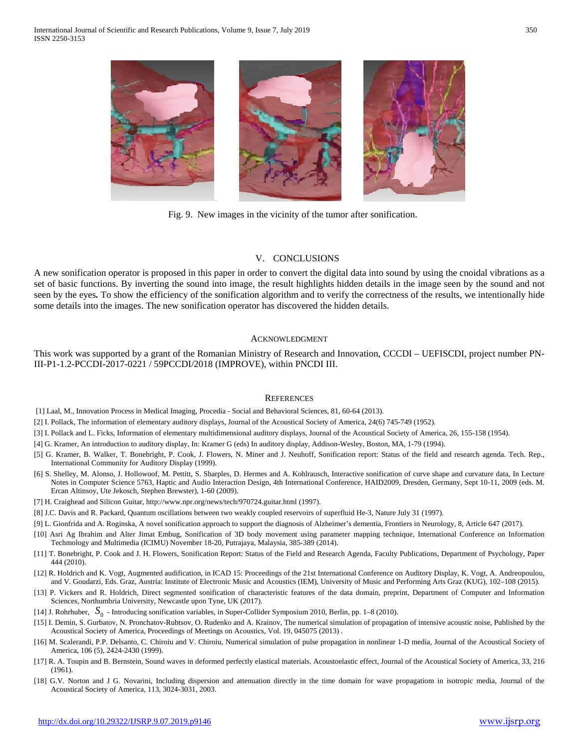

Fig. 9. New images in the vicinity of the tumor after sonification.

## V. CONCLUSIONS

A new sonification operator is proposed in this paper in order to convert the digital data into sound by using the cnoidal vibrations as a set of basic functions. By inverting the sound into image, the result highlights hidden details in the image seen by the sound and not seen by the eyes*.* To show the efficiency of the sonification algorithm and to verify the correctness of the results, we intentionally hide some details into the images. The new sonification operator has discovered the hidden details.

## ACKNOWLEDGMENT

This work was supported by a grant of the Romanian Ministry of Research and Innovation, CCCDI – UEFISCDI, project number PN-III-P1-1.2-PCCDI-2017-0221 / 59PCCDI/2018 (IMPROVE), within PNCDI III.

#### **REFERENCES**

[1] Laal, M., Innovation Process in Medical Imaging, Procedia - Social and Behavioral Sciences, 81, 60-64 (2013).

[2] I. Pollack, The information of elementary auditory displays, Journal of the Acoustical Society of America, 24(6) 745-749 (1952).

[3] I. Pollack and L. Ficks, Information of elementary multidimensional auditory displays, Journal of the Acoustical Society of America, 26, 155-158 (1954).

[4] G. Kramer, An introduction to auditory display, In: Kramer G (eds) In auditory display, Addison-Wesley, Boston, MA, 1-79 (1994).

[5] G. Kramer, B. Walker, T. Bonebright, P. Cook, J. Flowers, N. Miner and J. Neuhoff, Sonification report: Status of the field and research agenda. Tech. Rep., International Community for Auditory Display (1999).

- [6] S. Shelley, M. Alonso, J. Hollowoof, M. Pettitt, S. Sharples, D. Hermes and A. Kohlrausch, Interactive sonification of curve shape and curvature data, In Lecture Notes in Computer Science 5763, Haptic and Audio Interaction Design, 4th International Conference, HAID2009, Dresden, Germany, Sept 10-11, 2009 (eds. M. Ercan Altinsoy, Ute Jekosch, Stephen Brewster), 1-60 (2009).
- [7] H. Craighead and Silicon Guitar, http://www.npr.org/news/tech/970724.guitar.html (1997).
- [8] J.C. Davis and R. Packard, Quantum oscillations between two weakly coupled reservoirs of superfluid He-3, Nature July 31 (1997).
- [9] L. Gionfrida and A. Roginska, A novel sonification approach to support the diagnosis of Alzheimer's dementia, Frontiers in Neurology, 8, Article 647 (2017).
- [10] Asri Ag Ibrahim and Alter Jimat Embug, Sonification of 3D body movement using parameter mapping technique, International Conference on Information Techmology and Multimedia (ICIMU) November 18-20, Putrajaya, Malaysia, 385-389 (2014).
- [11] T. Bonebright, P. Cook and J. H. Flowers, Sonification Report: Status of the Field and Research Agenda, Faculty Publications, Department of Psychology, Paper 444 (2010).
- [12] R. Holdrich and K. Vogt, Augmented audification, in ICAD 15: Proceedings of the 21st International Conference on Auditory Display, K. Vogt, A. Andreopoulou, and V. Goudarzi, Eds. Graz, Austria: Institute of Electronic Music and Acoustics (IEM), University of Music and Performing Arts Graz (KUG), 102–108 (2015).
- [13] P. Vickers and R. Holdrich, Direct segmented sonification of characteristic features of the data domain, preprint, Department of Computer and Information Sciences, Northumbria University, Newcastle upon Tyne, UK (2017).
- [14] J. Rohrhuber, 0 *S* Introducing sonification variables, in Super-Collider Symposium 2010, Berlin, pp. 1–8 (2010).
- [15] I. Demin, S. Gurbatov, N. Pronchatov-Rubtsov, O. Rudenko and A. Krainov, The numerical simulation of propagation of intensive acoustic noise, Published by the Acoustical Society of America, Proceedings of Meetings on Acoustics, Vol. 19, 045075 (2013) .
- [16] M. Scalerandi, P.P. Delsanto, C. Chiroiu and V. Chiroiu, Numerical simulation of pulse propagation in nonlinear 1-D media, Journal of the Acoustical Society of America, 106 (5), 2424-2430 (1999).
- [17] R. A. Toupin and B. Bernstein, Sound waves in deformed perfectly elastical materials. Acoustoelastic effect, Journal of the Acoustical Society of America, 33, 216 (1961).
- [18] G.V. Norton and J G. Novarini, Including dispersion and attenuation directly in the time domain for wave propagatiom in isotropic media, Journal of the Acoustical Society of America, 113, 3024-3031, 2003.